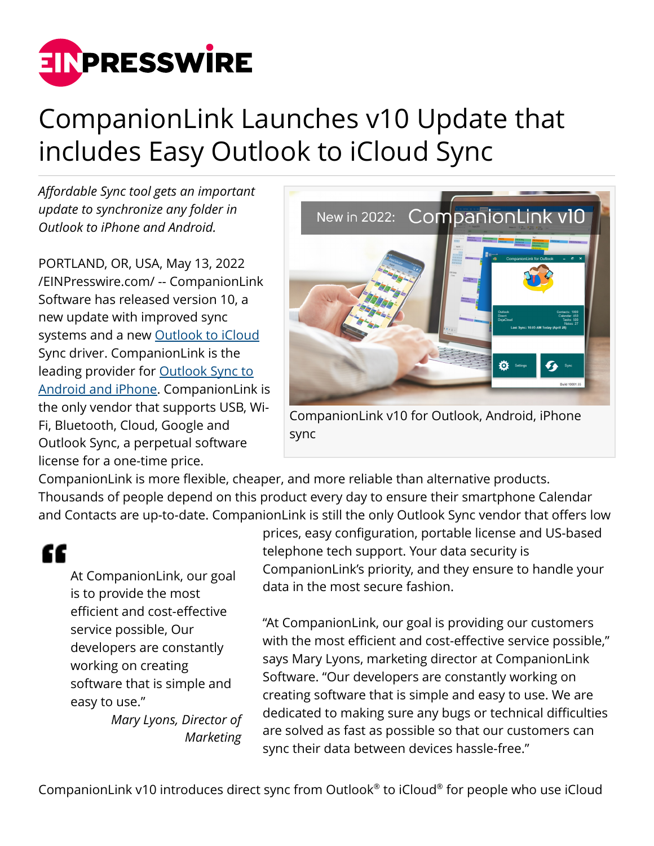

## CompanionLink Launches v10 Update that includes Easy Outlook to iCloud Sync

*Affordable Sync tool gets an important update to synchronize any folder in Outlook to iPhone and Android.*

PORTLAND, OR, USA, May 13, 2022 [/EINPresswire.com/](http://www.einpresswire.com) -- CompanionLink Software has released version 10, a new update with improved sync systems and a new [Outlook to iCloud](https://www.companionlink.com/iphone/outlook/) Sync driver. CompanionLink is the leading provider for [Outlook Sync to](https://www.companionlink.com/outlook/) [Android and iPhone](https://www.companionlink.com/outlook/). CompanionLink is the only vendor that supports USB, Wi-Fi, Bluetooth, Cloud, Google and Outlook Sync, a perpetual software license for a one-time price.



CompanionLink v10 for Outlook, Android, iPhone sync

CompanionLink is more flexible, cheaper, and more reliable than alternative products. Thousands of people depend on this product every day to ensure their smartphone Calendar and Contacts are up-to-date. CompanionLink is still the only Outlook Sync vendor that offers low

## ££

At CompanionLink, our goal is to provide the most efficient and cost-effective service possible, Our developers are constantly working on creating software that is simple and easy to use."

*Mary Lyons, Director of Marketing*

prices, easy configuration, portable license and US-based telephone tech support. Your data security is CompanionLink's priority, and they ensure to handle your data in the most secure fashion.

"At CompanionLink, our goal is providing our customers with the most efficient and cost-effective service possible," says Mary Lyons, marketing director at CompanionLink Software. "Our developers are constantly working on creating software that is simple and easy to use. We are dedicated to making sure any bugs or technical difficulties are solved as fast as possible so that our customers can sync their data between devices hassle-free."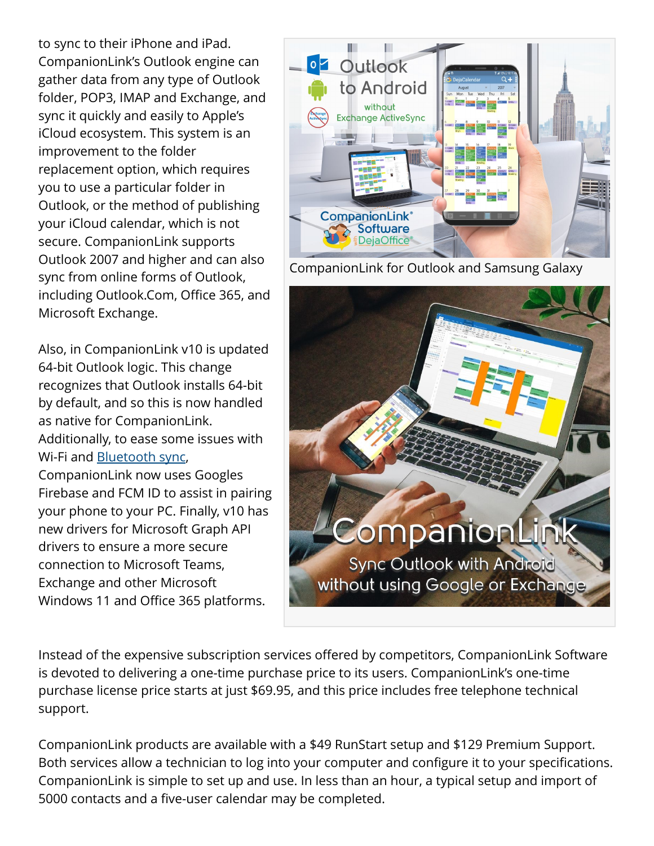to sync to their iPhone and iPad. CompanionLink's Outlook engine can gather data from any type of Outlook folder, POP3, IMAP and Exchange, and sync it quickly and easily to Apple's iCloud ecosystem. This system is an improvement to the folder replacement option, which requires you to use a particular folder in Outlook, or the method of publishing your iCloud calendar, which is not secure. CompanionLink supports Outlook 2007 and higher and can also sync from online forms of Outlook, including Outlook.Com, Office 365, and Microsoft Exchange.

Also, in CompanionLink v10 is updated 64-bit Outlook logic. This change recognizes that Outlook installs 64-bit by default, and so this is now handled as native for CompanionLink. Additionally, to ease some issues with Wi-Fi and [Bluetooth sync,](https://www.companionlink.com/android/outlook/) CompanionLink now uses Googles Firebase and FCM ID to assist in pairing your phone to your PC. Finally, v10 has new drivers for Microsoft Graph API drivers to ensure a more secure connection to Microsoft Teams, Exchange and other Microsoft Windows 11 and Office 365 platforms.

**oz** Outlook to Android without **Exchange ActiveSync CompanionLink** Software

CompanionLink for Outlook and Samsung Galaxy



Instead of the expensive subscription services offered by competitors, CompanionLink Software is devoted to delivering a one-time purchase price to its users. CompanionLink's one-time purchase license price starts at just \$69.95, and this price includes free telephone technical support.

CompanionLink products are available with a \$49 RunStart setup and \$129 Premium Support. Both services allow a technician to log into your computer and configure it to your specifications. CompanionLink is simple to set up and use. In less than an hour, a typical setup and import of 5000 contacts and a five-user calendar may be completed.